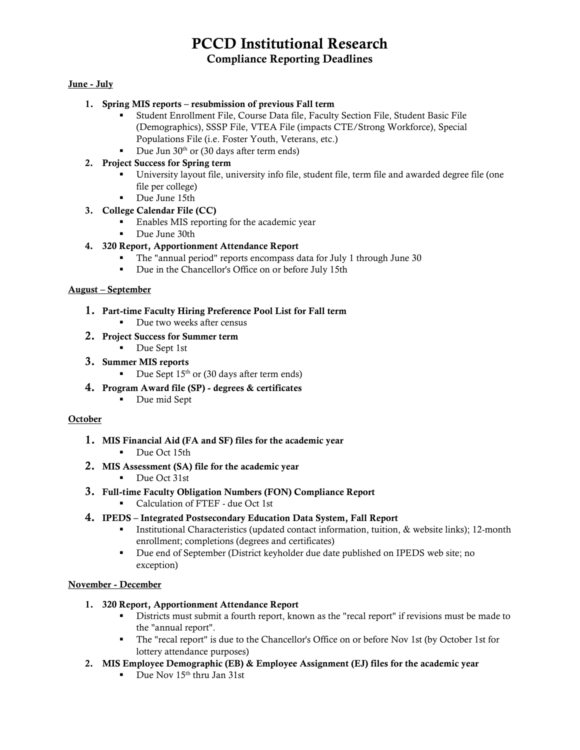# PCCD Institutional Research Compliance Reporting Deadlines

#### June - July

#### 1. [Spring MIS reports](http://extranet.cccco.edu/Portals/1/TRIS/MIS/Left_Nav/Data_Sub_Timeline_2017-18.pdf) – resubmission of previous Fall term

- Student Enrollment File, Course Data file, Faculty Section File, Student Basic File (Demographics), SSSP File, VTEA File (impacts CTE/Strong Workforce), Special Populations File (i.e. Foster Youth, Veterans, etc.)
- Due Jun  $30<sup>th</sup>$  or (30 days after term ends)

#### 2. [Project Success](http://ecmc-z41d.damoursystems.com/) for Spring term

- University layout file, university info file, student file, term file and awarded degree file (one file per college)
- Due June 15th
- 3. College Calendar File (CC)
	- **Enables MIS reporting for the academic year**
	- Due June 30th
- 4. [320 Report, Apportionment Attendance Report](http://extranet.cccco.edu/Divisions/FinanceFacilities/FiscalServicesUnit/Submissions/OnlineCCFS320ReportingSystem.aspx)
	- The "annual period" reports encompass data for July 1 through June 30
	- Due in the Chancellor's Office on or before July 15th

#### August – September

- 1. Part-time Faculty Hiring Preference Pool List for Fall term
	- Due two weeks after census
- 2. [Project Success](http://ecmc-z41d.damoursystems.com/) for Summer term
	- Due Sept 1st
- 3. [Summer MIS reports](http://extranet.cccco.edu/Portals/1/TRIS/MIS/Left_Nav/Data_Sub_Timeline_2017-18.pdf)
	- Due Sept  $15<sup>th</sup>$  or (30 days after term ends)
- 4. Program Award file (SP) degrees & certificates
	- Due mid Sept

#### **October**

- 1. MIS Financial Aid (FA and SF) files for the academic year
	- Due Oct 15th
- 2. MIS Assessment (SA) file for the academic year
	- Due Oct 31st
- 3. [Full-time Faculty Obligation Numbers \(FON\) Compliance Report](http://extranet.cccco.edu/Divisions/FinanceFacilities/FiscalStandardsandAccountibilityUnit/FiscalStandards/FullTimeFacultyObligation.aspx#Fall_2017_and_Fall_2018)
	- Calculation of FTEF due Oct 1st
- 4. IPEDS [Integrated Postsecondary Education Data System, Fall Report](https://surveys.nces.ed.gov/ipeds/ViewContent.aspx?contentId=15)
	- **Institutional Characteristics (updated contact information, tuition, & website links); 12-month** enrollment; completions (degrees and certificates)
	- Due end of September (District keyholder due date published on IPEDS web site; no exception)

#### November - December

- 1. [320 Report, Apportionment Attendance Report](http://extranet.cccco.edu/Divisions/FinanceFacilities/FiscalServicesUnit/Submissions/OnlineCCFS320ReportingSystem.aspx)
	- Districts must submit a fourth report, known as the "recal report" if revisions must be made to the "annual report".
	- The "recal report" is due to the Chancellor's Office on or before Nov 1st (by October 1st for lottery attendance purposes)
- 2. MIS Employee Demographic (EB) & Employee Assignment (EJ) files for the academic year
	- $\blacksquare$  Due Nov 15<sup>th</sup> thru Jan 31st